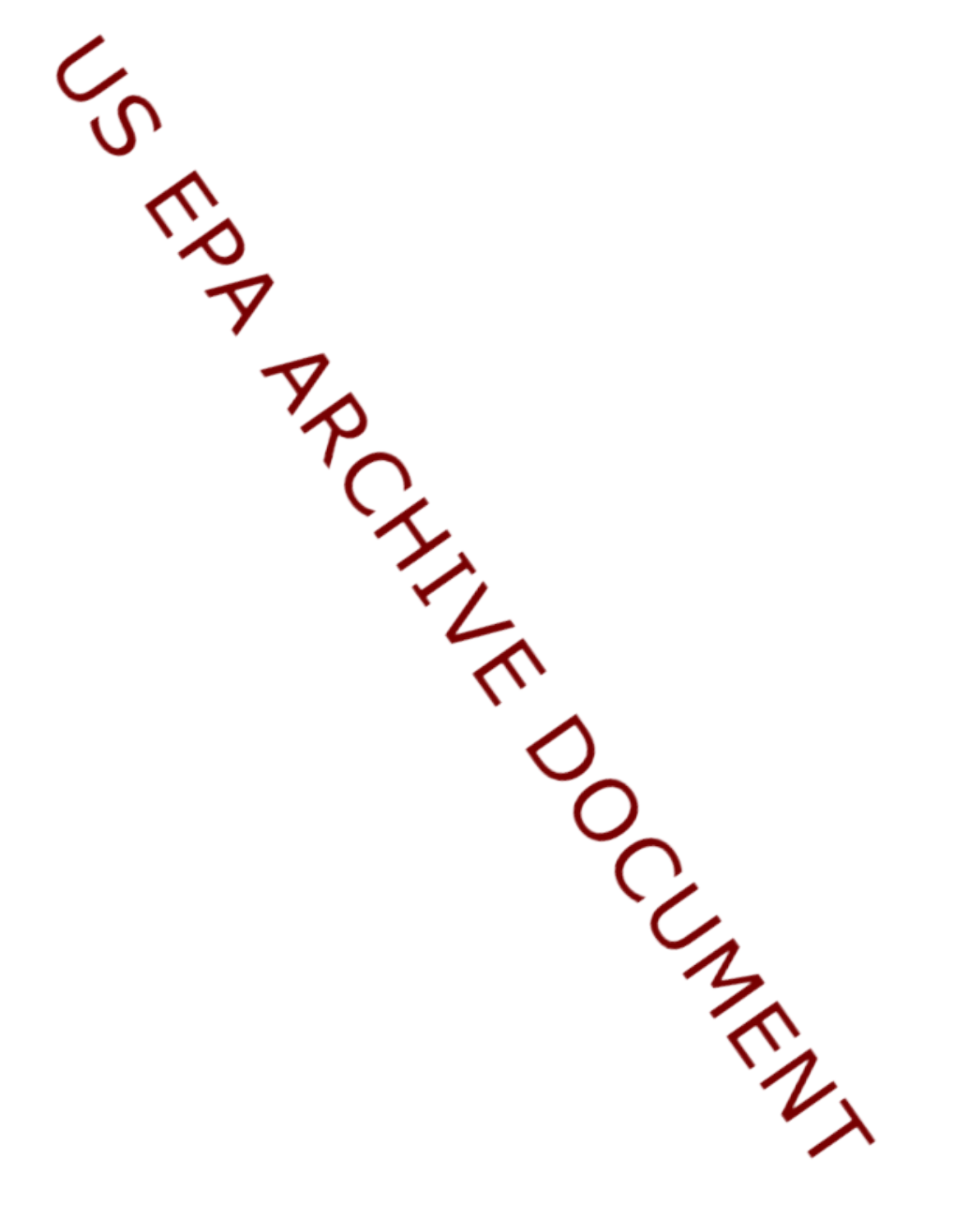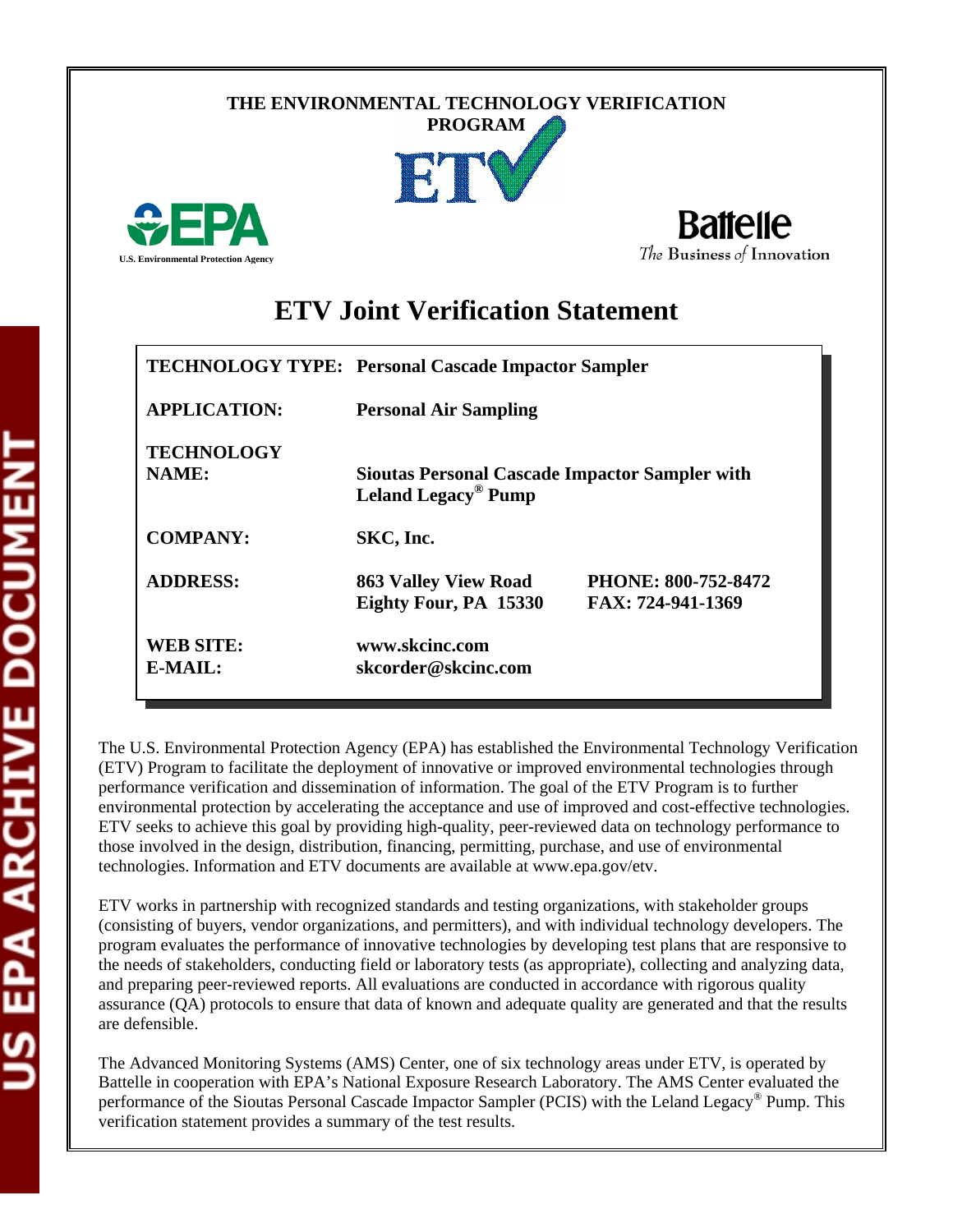## **THE ENVIRONMENTAL TECHNOLOGY VERIFICATION PROGRAM**





# **ETV Joint Verification Statement**

|                                      | <b>TECHNOLOGY TYPE: Personal Cascade Impactor Sampler</b>                                |                                          |  |
|--------------------------------------|------------------------------------------------------------------------------------------|------------------------------------------|--|
| <b>APPLICATION:</b>                  | <b>Personal Air Sampling</b>                                                             |                                          |  |
| <b>TECHNOLOGY</b><br><b>NAME:</b>    | <b>Sioutas Personal Cascade Impactor Sampler with</b><br>Leland Legacy <sup>®</sup> Pump |                                          |  |
| <b>COMPANY:</b>                      | SKC, Inc.                                                                                |                                          |  |
| <b>ADDRESS:</b>                      | <b>863 Valley View Road</b><br>Eighty Four, PA 15330                                     | PHONE: 800-752-8472<br>FAX: 724-941-1369 |  |
| <b>WEB SITE:</b><br>$E\text{-}MAIL:$ | www.skcinc.com<br>skcorder@skcinc.com                                                    |                                          |  |

The U.S. Environmental Protection Agency (EPA) has established the Environmental Technology Verification (ETV) Program to facilitate the deployment of innovative or improved environmental technologies through performance verification and dissemination of information. The goal of the ETV Program is to further environmental protection by accelerating the acceptance and use of improved and cost-effective technologies. ETV seeks to achieve this goal by providing high-quality, peer-reviewed data on technology performance to those involved in the design, distribution, financing, permitting, purchase, and use of environmental technologies. Information and ETV documents are available at www.epa.gov/etv.

ETV works in partnership with recognized standards and testing organizations, with stakeholder groups (consisting of buyers, vendor organizations, and permitters), and with individual technology developers. The program evaluates the performance of innovative technologies by developing test plans that are responsive to the needs of stakeholders, conducting field or laboratory tests (as appropriate), collecting and analyzing data, and preparing peer-reviewed reports. All evaluations are conducted in accordance with rigorous quality assurance (QA) protocols to ensure that data of known and adequate quality are generated and that the results are defensible.

The Advanced Monitoring Systems (AMS) Center, one of six technology areas under ETV, is operated by Battelle in cooperation with EPA's National Exposure Research Laboratory. The AMS Center evaluated the performance of the Sioutas Personal Cascade Impactor Sampler (PCIS) with the Leland Legacy® Pump. This verification statement provides a summary of the test results.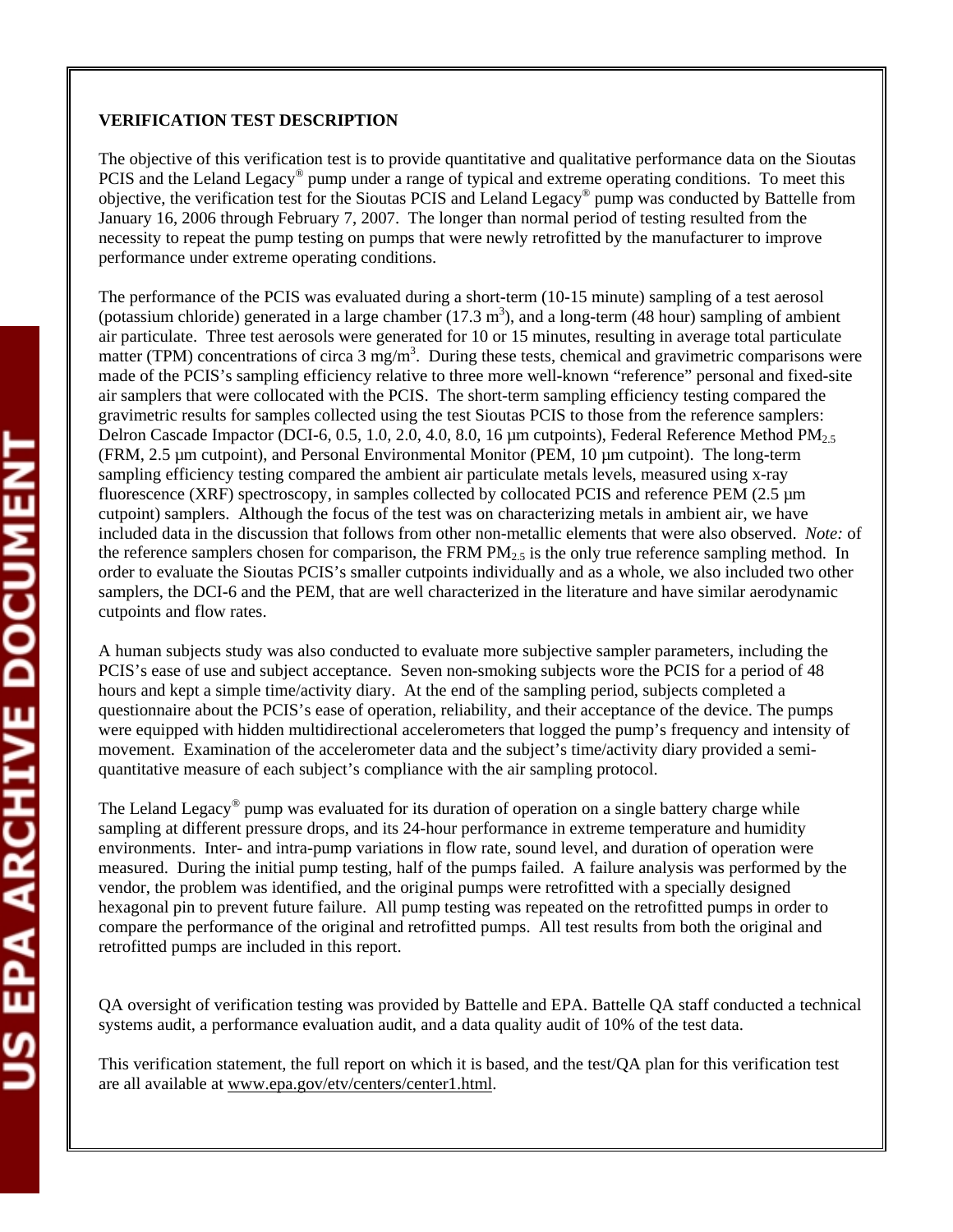# **VERIFICATION TEST DESCRIPTION**

The objective of this verification test is to provide quantitative and qualitative performance data on the Sioutas PCIS and the Leland Legacy<sup>®</sup> pump under a range of typical and extreme operating conditions. To meet this objective, the verification test for the Sioutas PCIS and Leland Legacy® pump was conducted by Battelle from January 16, 2006 through February 7, 2007. The longer than normal period of testing resulted from the necessity to repeat the pump testing on pumps that were newly retrofitted by the manufacturer to improve performance under extreme operating conditions.

The performance of the PCIS was evaluated during a short-term (10-15 minute) sampling of a test aerosol (potassium chloride) generated in a large chamber  $(17.3 \text{ m}^3)$ , and a long-term  $(48 \text{ hour})$  sampling of ambient air particulate. Three test aerosols were generated for 10 or 15 minutes, resulting in average total particulate matter (TPM) concentrations of circa 3 mg/m<sup>3</sup>. During these tests, chemical and gravimetric comparisons were made of the PCIS's sampling efficiency relative to three more well-known "reference" personal and fixed-site air samplers that were collocated with the PCIS. The short-term sampling efficiency testing compared the gravimetric results for samples collected using the test Sioutas PCIS to those from the reference samplers: Delron Cascade Impactor (DCI-6, 0.5, 1.0, 2.0, 4.0, 8.0, 16  $\mu$ m cutpoints), Federal Reference Method PM<sub>2.5</sub> (FRM, 2.5 µm cutpoint), and Personal Environmental Monitor (PEM, 10 µm cutpoint). The long-term sampling efficiency testing compared the ambient air particulate metals levels, measured using x-ray fluorescence (XRF) spectroscopy, in samples collected by collocated PCIS and reference PEM (2.5 µm cutpoint) samplers. Although the focus of the test was on characterizing metals in ambient air, we have included data in the discussion that follows from other non-metallic elements that were also observed. *Note:* of the reference samplers chosen for comparison, the FRM  $PM_{2.5}$  is the only true reference sampling method. In order to evaluate the Sioutas PCIS's smaller cutpoints individually and as a whole, we also included two other samplers, the DCI-6 and the PEM, that are well characterized in the literature and have similar aerodynamic cutpoints and flow rates.

A human subjects study was also conducted to evaluate more subjective sampler parameters, including the PCIS's ease of use and subject acceptance. Seven non-smoking subjects wore the PCIS for a period of 48 hours and kept a simple time/activity diary. At the end of the sampling period, subjects completed a questionnaire about the PCIS's ease of operation, reliability, and their acceptance of the device. The pumps were equipped with hidden multidirectional accelerometers that logged the pump's frequency and intensity of movement. Examination of the accelerometer data and the subject's time/activity diary provided a semiquantitative measure of each subject's compliance with the air sampling protocol.

The Leland Legacy<sup>®</sup> pump was evaluated for its duration of operation on a single battery charge while sampling at different pressure drops, and its 24-hour performance in extreme temperature and humidity environments. Inter- and intra-pump variations in flow rate, sound level, and duration of operation were measured. During the initial pump testing, half of the pumps failed. A failure analysis was performed by the vendor, the problem was identified, and the original pumps were retrofitted with a specially designed hexagonal pin to prevent future failure. All pump testing was repeated on the retrofitted pumps in order to compare the performance of the original and retrofitted pumps. All test results from both the original and retrofitted pumps are included in this report.

QA oversight of verification testing was provided by Battelle and EPA. Battelle QA staff conducted a technical systems audit, a performance evaluation audit, and a data quality audit of 10% of the test data.

This verification statement, the full report on which it is based, and the test/QA plan for this verification test are all available at www.epa.gov/etv/centers/center1.html.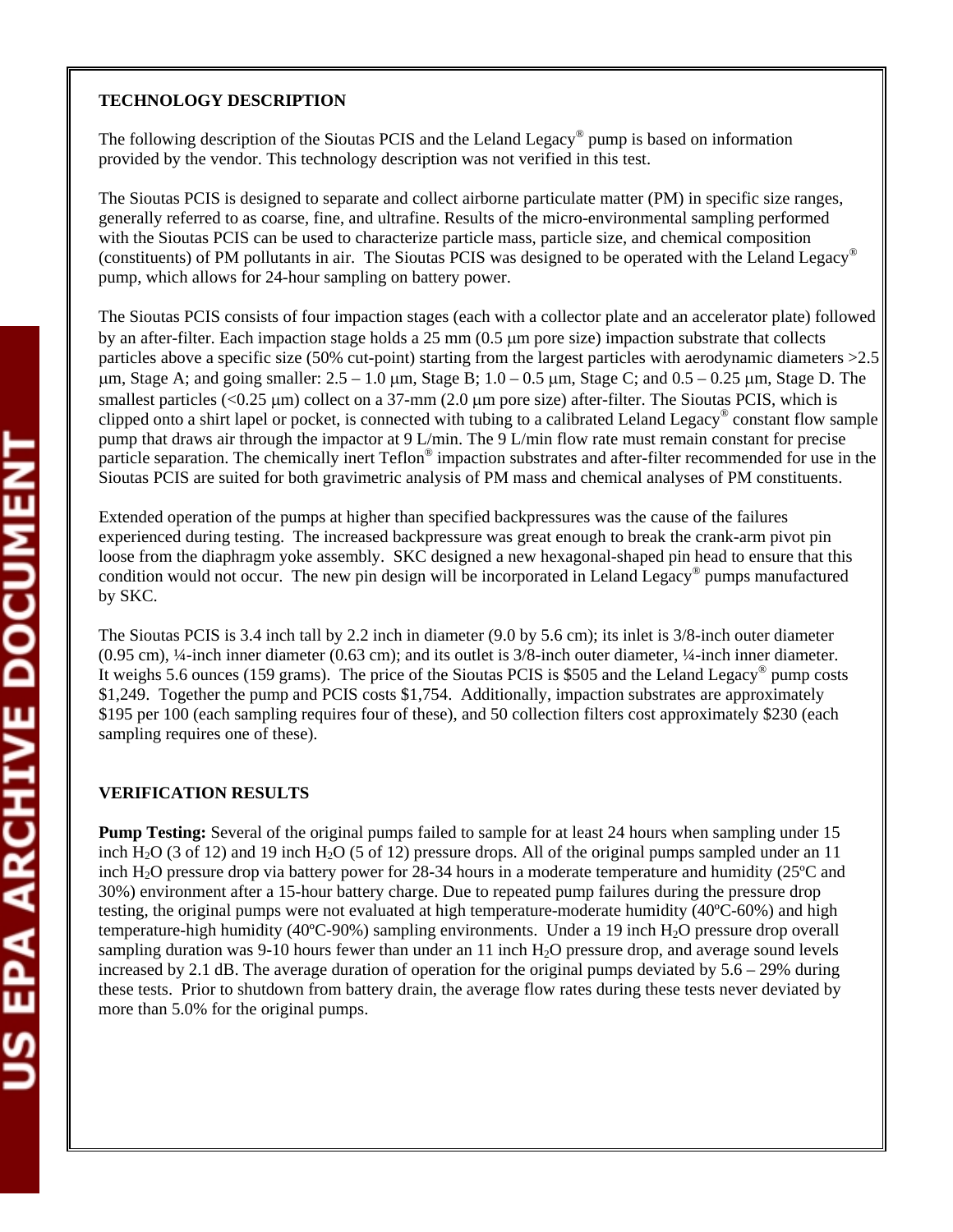#### **TECHNOLOGY DESCRIPTION**

The following description of the Sioutas PCIS and the Leland Legacy<sup>®</sup> pump is based on information provided by the vendor. This technology description was not verified in this test.

The Sioutas PCIS is designed to separate and collect airborne particulate matter (PM) in specific size ranges, generally referred to as coarse, fine, and ultrafine. Results of the micro-environmental sampling performed with the Sioutas PCIS can be used to characterize particle mass, particle size, and chemical composition (constituents) of PM pollutants in air. The Sioutas PCIS was designed to be operated with the Leland Legacy® pump, which allows for 24-hour sampling on battery power.

The Sioutas PCIS consists of four impaction stages (each with a collector plate and an accelerator plate) followed by an after-filter. Each impaction stage holds a 25 mm (0.5 µm pore size) impaction substrate that collects particles above a specific size (50% cut-point) starting from the largest particles with aerodynamic diameters >2.5  $\mu$ m, Stage A; and going smaller:  $2.5 - 1.0 \mu$ m, Stage B;  $1.0 - 0.5 \mu$ m, Stage C; and  $0.5 - 0.25 \mu$ m, Stage D. The smallest particles  $(<0.25 \mu m)$  collect on a 37-mm (2.0  $\mu$ m pore size) after-filter. The Sioutas PCIS, which is clipped onto a shirt lapel or pocket, is connected with tubing to a calibrated Leland Legacy® constant flow sample pump that draws air through the impactor at 9 L/min. The 9 L/min flow rate must remain constant for precise particle separation. The chemically inert Teflon<sup>®</sup> impaction substrates and after-filter recommended for use in the Sioutas PCIS are suited for both gravimetric analysis of PM mass and chemical analyses of PM constituents.

Extended operation of the pumps at higher than specified backpressures was the cause of the failures experienced during testing. The increased backpressure was great enough to break the crank-arm pivot pin loose from the diaphragm yoke assembly. SKC designed a new hexagonal-shaped pin head to ensure that this condition would not occur. The new pin design will be incorporated in Leland Legacy® pumps manufactured by SKC.

The Sioutas PCIS is 3.4 inch tall by 2.2 inch in diameter (9.0 by 5.6 cm); its inlet is 3/8-inch outer diameter (0.95 cm), ¼-inch inner diameter (0.63 cm); and its outlet is 3/8-inch outer diameter, ¼-inch inner diameter. It weighs 5.6 ounces (159 grams). The price of the Sioutas PCIS is \$505 and the Leland Legacy® pump costs \$1,249. Together the pump and PCIS costs \$1,754. Additionally, impaction substrates are approximately \$195 per 100 (each sampling requires four of these), and 50 collection filters cost approximately \$230 (each sampling requires one of these).

## **VERIFICATION RESULTS**

**Pump Testing:** Several of the original pumps failed to sample for at least 24 hours when sampling under 15 inch H<sub>2</sub>O (3 of 12) and 19 inch H<sub>2</sub>O (5 of 12) pressure drops. All of the original pumps sampled under an 11 inch H2O pressure drop via battery power for 28-34 hours in a moderate temperature and humidity (25ºC and 30%) environment after a 15-hour battery charge. Due to repeated pump failures during the pressure drop testing, the original pumps were not evaluated at high temperature-moderate humidity (40ºC-60%) and high temperature-high humidity (40°C-90%) sampling environments. Under a 19 inch  $H_2O$  pressure drop overall sampling duration was 9-10 hours fewer than under an 11 inch  $H_2O$  pressure drop, and average sound levels increased by 2.1 dB. The average duration of operation for the original pumps deviated by  $5.6 - 29\%$  during these tests. Prior to shutdown from battery drain, the average flow rates during these tests never deviated by more than 5.0% for the original pumps.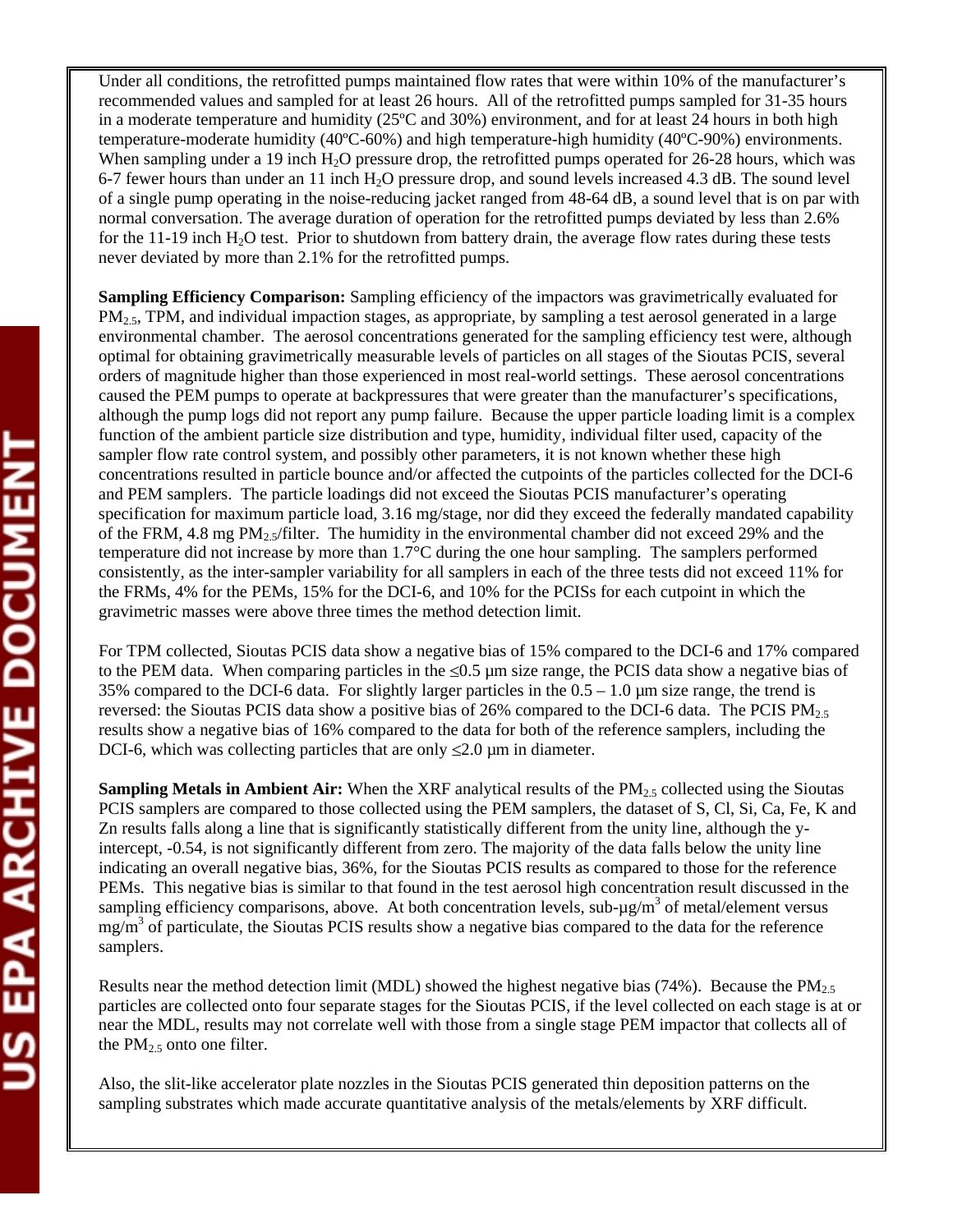Under all conditions, the retrofitted pumps maintained flow rates that were within 10% of the manufacturer's recommended values and sampled for at least 26 hours. All of the retrofitted pumps sampled for 31-35 hours in a moderate temperature and humidity (25ºC and 30%) environment, and for at least 24 hours in both high temperature-moderate humidity (40ºC-60%) and high temperature-high humidity (40ºC-90%) environments. When sampling under a 19 inch  $H_2O$  pressure drop, the retrofitted pumps operated for 26-28 hours, which was 6-7 fewer hours than under an 11 inch H2O pressure drop, and sound levels increased 4.3 dB. The sound level of a single pump operating in the noise-reducing jacket ranged from 48-64 dB, a sound level that is on par with normal conversation. The average duration of operation for the retrofitted pumps deviated by less than 2.6% for the  $11-19$  inch  $H_2O$  test. Prior to shutdown from battery drain, the average flow rates during these tests never deviated by more than 2.1% for the retrofitted pumps.

**Sampling Efficiency Comparison:** Sampling efficiency of the impactors was gravimetrically evaluated for  $PM_{2.5}$ , TPM, and individual impaction stages, as appropriate, by sampling a test aerosol generated in a large environmental chamber. The aerosol concentrations generated for the sampling efficiency test were, although optimal for obtaining gravimetrically measurable levels of particles on all stages of the Sioutas PCIS, several orders of magnitude higher than those experienced in most real-world settings. These aerosol concentrations caused the PEM pumps to operate at backpressures that were greater than the manufacturer's specifications, although the pump logs did not report any pump failure. Because the upper particle loading limit is a complex function of the ambient particle size distribution and type, humidity, individual filter used, capacity of the sampler flow rate control system, and possibly other parameters, it is not known whether these high concentrations resulted in particle bounce and/or affected the cutpoints of the particles collected for the DCI-6 and PEM samplers. The particle loadings did not exceed the Sioutas PCIS manufacturer's operating specification for maximum particle load, 3.16 mg/stage, nor did they exceed the federally mandated capability of the FRM, 4.8 mg  $PM_{2.5}/$  filter. The humidity in the environmental chamber did not exceed 29% and the temperature did not increase by more than 1.7°C during the one hour sampling. The samplers performed consistently, as the inter-sampler variability for all samplers in each of the three tests did not exceed 11% for the FRMs, 4% for the PEMs, 15% for the DCI-6, and 10% for the PCISs for each cutpoint in which the gravimetric masses were above three times the method detection limit.

For TPM collected, Sioutas PCIS data show a negative bias of 15% compared to the DCI-6 and 17% compared to the PEM data. When comparing particles in the  $\leq 0.5$  µm size range, the PCIS data show a negative bias of 35% compared to the DCI-6 data. For slightly larger particles in the  $0.5 - 1.0$  µm size range, the trend is reversed: the Sioutas PCIS data show a positive bias of 26% compared to the DCI-6 data. The PCIS  $PM_{2.5}$ results show a negative bias of 16% compared to the data for both of the reference samplers, including the DCI-6, which was collecting particles that are only  $\leq 2.0$  µm in diameter.

**Sampling Metals in Ambient Air:** When the XRF analytical results of the PM<sub>2.5</sub> collected using the Sioutas PCIS samplers are compared to those collected using the PEM samplers, the dataset of S, Cl, Si, Ca, Fe, K and Zn results falls along a line that is significantly statistically different from the unity line, although the yintercept, -0.54, is not significantly different from zero. The majority of the data falls below the unity line indicating an overall negative bias, 36%, for the Sioutas PCIS results as compared to those for the reference PEMs. This negative bias is similar to that found in the test aerosol high concentration result discussed in the sampling efficiency comparisons, above. At both concentration levels, sub- $\mu$ g/m<sup>3</sup> of metal/element versus mg/m<sup>3</sup> of particulate, the Sioutas PCIS results show a negative bias compared to the data for the reference samplers.

Results near the method detection limit (MDL) showed the highest negative bias (74%). Because the  $PM<sub>2.5</sub>$ particles are collected onto four separate stages for the Sioutas PCIS, if the level collected on each stage is at or near the MDL, results may not correlate well with those from a single stage PEM impactor that collects all of the  $PM<sub>2.5</sub>$  onto one filter.

Also, the slit-like accelerator plate nozzles in the Sioutas PCIS generated thin deposition patterns on the sampling substrates which made accurate quantitative analysis of the metals/elements by XRF difficult.